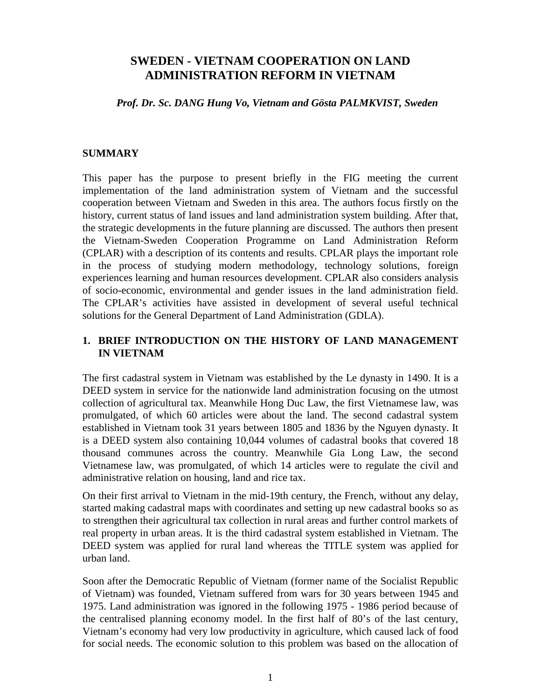# **SWEDEN - VIETNAM COOPERATION ON LAND ADMINISTRATION REFORM IN VIETNAM**

*Prof. Dr. Sc. DANG Hung Vo, Vietnam and Gösta PALMKVIST, Sweden*

#### **SUMMARY**

This paper has the purpose to present briefly in the FIG meeting the current implementation of the land administration system of Vietnam and the successful cooperation between Vietnam and Sweden in this area. The authors focus firstly on the history, current status of land issues and land administration system building. After that, the strategic developments in the future planning are discussed. The authors then present the Vietnam-Sweden Cooperation Programme on Land Administration Reform (CPLAR) with a description of its contents and results. CPLAR plays the important role in the process of studying modern methodology, technology solutions, foreign experiences learning and human resources development. CPLAR also considers analysis of socio-economic, environmental and gender issues in the land administration field. The CPLAR's activities have assisted in development of several useful technical solutions for the General Department of Land Administration (GDLA).

## **1. BRIEF INTRODUCTION ON THE HISTORY OF LAND MANAGEMENT IN VIETNAM**

The first cadastral system in Vietnam was established by the Le dynasty in 1490. It is a DEED system in service for the nationwide land administration focusing on the utmost collection of agricultural tax. Meanwhile Hong Duc Law, the first Vietnamese law, was promulgated, of which 60 articles were about the land. The second cadastral system established in Vietnam took 31 years between 1805 and 1836 by the Nguyen dynasty. It is a DEED system also containing 10,044 volumes of cadastral books that covered 18 thousand communes across the country. Meanwhile Gia Long Law, the second Vietnamese law, was promulgated, of which 14 articles were to regulate the civil and administrative relation on housing, land and rice tax.

On their first arrival to Vietnam in the mid-19th century, the French, without any delay, started making cadastral maps with coordinates and setting up new cadastral books so as to strengthen their agricultural tax collection in rural areas and further control markets of real property in urban areas. It is the third cadastral system established in Vietnam. The DEED system was applied for rural land whereas the TITLE system was applied for urban land.

Soon after the Democratic Republic of Vietnam (former name of the Socialist Republic of Vietnam) was founded, Vietnam suffered from wars for 30 years between 1945 and 1975. Land administration was ignored in the following 1975 - 1986 period because of the centralised planning economy model. In the first half of 80's of the last century, Vietnam's economy had very low productivity in agriculture, which caused lack of food for social needs. The economic solution to this problem was based on the allocation of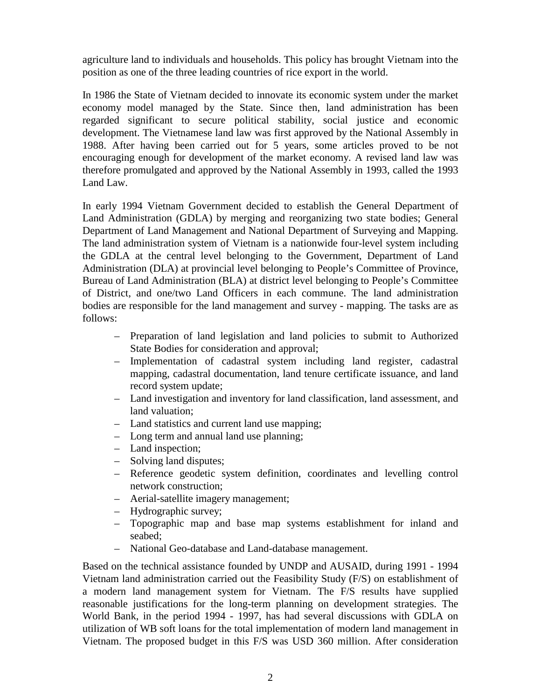agriculture land to individuals and households. This policy has brought Vietnam into the position as one of the three leading countries of rice export in the world.

In 1986 the State of Vietnam decided to innovate its economic system under the market economy model managed by the State. Since then, land administration has been regarded significant to secure political stability, social justice and economic development. The Vietnamese land law was first approved by the National Assembly in 1988. After having been carried out for 5 years, some articles proved to be not encouraging enough for development of the market economy. A revised land law was therefore promulgated and approved by the National Assembly in 1993, called the 1993 Land Law.

In early 1994 Vietnam Government decided to establish the General Department of Land Administration (GDLA) by merging and reorganizing two state bodies; General Department of Land Management and National Department of Surveying and Mapping. The land administration system of Vietnam is a nationwide four-level system including the GDLA at the central level belonging to the Government, Department of Land Administration (DLA) at provincial level belonging to People's Committee of Province, Bureau of Land Administration (BLA) at district level belonging to People's Committee of District, and one/two Land Officers in each commune. The land administration bodies are responsible for the land management and survey - mapping. The tasks are as follows:

- Preparation of land legislation and land policies to submit to Authorized State Bodies for consideration and approval;
- Implementation of cadastral system including land register, cadastral mapping, cadastral documentation, land tenure certificate issuance, and land record system update;
- Land investigation and inventory for land classification, land assessment, and land valuation;
- Land statistics and current land use mapping;
- Long term and annual land use planning;
- Land inspection;
- Solving land disputes;
- Reference geodetic system definition, coordinates and levelling control network construction;
- Aerial-satellite imagery management;
- Hydrographic survey;
- Topographic map and base map systems establishment for inland and seabed;
- National Geo-database and Land-database management.

Based on the technical assistance founded by UNDP and AUSAID, during 1991 - 1994 Vietnam land administration carried out the Feasibility Study (F/S) on establishment of a modern land management system for Vietnam. The F/S results have supplied reasonable justifications for the long-term planning on development strategies. The World Bank, in the period 1994 - 1997, has had several discussions with GDLA on utilization of WB soft loans for the total implementation of modern land management in Vietnam. The proposed budget in this F/S was USD 360 million. After consideration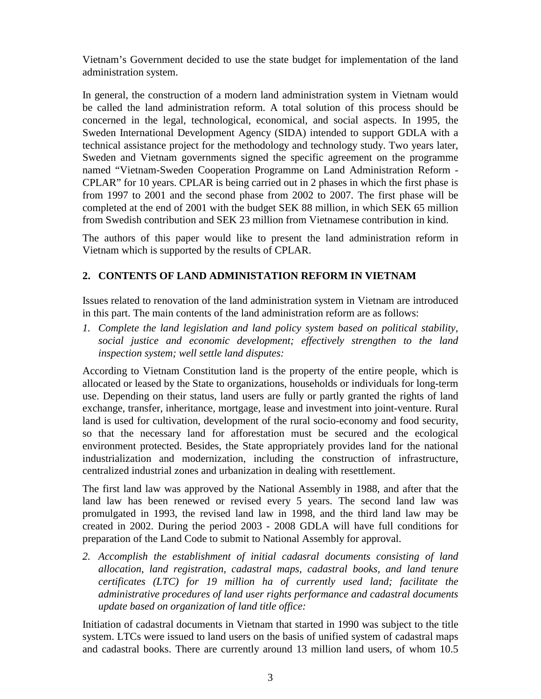Vietnam's Government decided to use the state budget for implementation of the land administration system.

In general, the construction of a modern land administration system in Vietnam would be called the land administration reform. A total solution of this process should be concerned in the legal, technological, economical, and social aspects. In 1995, the Sweden International Development Agency (SIDA) intended to support GDLA with a technical assistance project for the methodology and technology study. Two years later, Sweden and Vietnam governments signed the specific agreement on the programme named "Vietnam-Sweden Cooperation Programme on Land Administration Reform - CPLAR" for 10 years. CPLAR is being carried out in 2 phases in which the first phase is from 1997 to 2001 and the second phase from 2002 to 2007. The first phase will be completed at the end of 2001 with the budget SEK 88 million, in which SEK 65 million from Swedish contribution and SEK 23 million from Vietnamese contribution in kind.

The authors of this paper would like to present the land administration reform in Vietnam which is supported by the results of CPLAR.

## **2. CONTENTS OF LAND ADMINISTATION REFORM IN VIETNAM**

Issues related to renovation of the land administration system in Vietnam are introduced in this part. The main contents of the land administration reform are as follows:

*1. Complete the land legislation and land policy system based on political stability, social justice and economic development; effectively strengthen to the land inspection system; well settle land disputes:*

According to Vietnam Constitution land is the property of the entire people, which is allocated or leased by the State to organizations, households or individuals for long-term use. Depending on their status, land users are fully or partly granted the rights of land exchange, transfer, inheritance, mortgage, lease and investment into joint-venture. Rural land is used for cultivation, development of the rural socio-economy and food security, so that the necessary land for afforestation must be secured and the ecological environment protected. Besides, the State appropriately provides land for the national industrialization and modernization, including the construction of infrastructure, centralized industrial zones and urbanization in dealing with resettlement.

The first land law was approved by the National Assembly in 1988, and after that the land law has been renewed or revised every 5 years. The second land law was promulgated in 1993, the revised land law in 1998, and the third land law may be created in 2002. During the period 2003 - 2008 GDLA will have full conditions for preparation of the Land Code to submit to National Assembly for approval.

*2. Accomplish the establishment of initial cadasral documents consisting of land allocation, land registration, cadastral maps, cadastral books, and land tenure certificates (LTC) for 19 million ha of currently used land; facilitate the administrative procedures of land user rights performance and cadastral documents update based on organization of land title office:*

Initiation of cadastral documents in Vietnam that started in 1990 was subject to the title system. LTCs were issued to land users on the basis of unified system of cadastral maps and cadastral books. There are currently around 13 million land users, of whom 10.5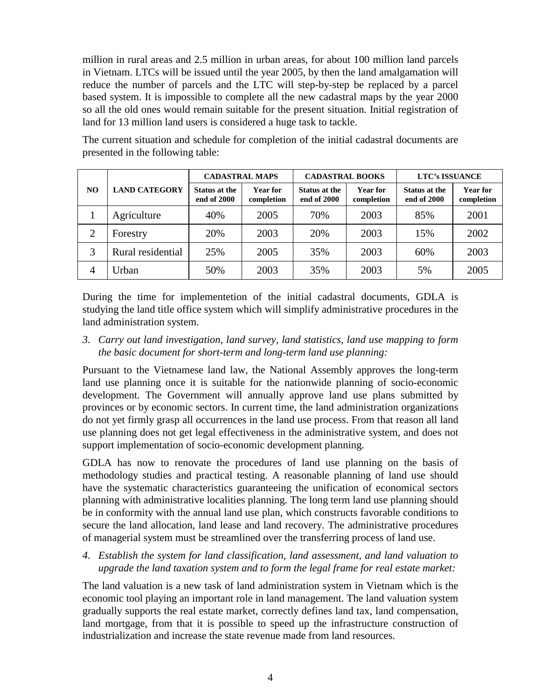million in rural areas and 2.5 million in urban areas, for about 100 million land parcels in Vietnam. LTCs will be issued until the year 2005, by then the land amalgamation will reduce the number of parcels and the LTC will step-by-step be replaced by a parcel based system. It is impossible to complete all the new cadastral maps by the year 2000 so all the old ones would remain suitable for the present situation. Initial registration of land for 13 million land users is considered a huge task to tackle.

|     | <b>LAND CATEGORY</b> | <b>CADASTRAL MAPS</b>        |                               | <b>CADASTRAL BOOKS</b>       |                        | <b>LTC's ISSUANCE</b>        |                               |
|-----|----------------------|------------------------------|-------------------------------|------------------------------|------------------------|------------------------------|-------------------------------|
| NO. |                      | Status at the<br>end of 2000 | <b>Year for</b><br>completion | Status at the<br>end of 2000 | Year for<br>completion | Status at the<br>end of 2000 | <b>Year for</b><br>completion |
|     | Agriculture          | 40%                          | 2005                          | 70%                          | 2003                   | 85%                          | 2001                          |
| 2   | Forestry             | 20%                          | 2003                          | 20%                          | 2003                   | 15%                          | 2002                          |
| 3   | Rural residential    | 25%                          | 2005                          | 35%                          | 2003                   | 60%                          | 2003                          |
| 4   | Urban                | 50%                          | 2003                          | 35%                          | 2003                   | 5%                           | 2005                          |

The current situation and schedule for completion of the initial cadastral documents are presented in the following table:

During the time for implementetion of the initial cadastral documents, GDLA is studying the land title office system which will simplify administrative procedures in the land administration system.

*3. Carry out land investigation, land survey, land statistics, land use mapping to form the basic document for short-term and long-term land use planning:*

Pursuant to the Vietnamese land law, the National Assembly approves the long-term land use planning once it is suitable for the nationwide planning of socio-economic development. The Government will annually approve land use plans submitted by provinces or by economic sectors. In current time, the land administration organizations do not yet firmly grasp all occurrences in the land use process. From that reason all land use planning does not get legal effectiveness in the administrative system, and does not support implementation of socio-economic development planning.

GDLA has now to renovate the procedures of land use planning on the basis of methodology studies and practical testing. A reasonable planning of land use should have the systematic characteristics guaranteeing the unification of economical sectors planning with administrative localities planning. The long term land use planning should be in conformity with the annual land use plan, which constructs favorable conditions to secure the land allocation, land lease and land recovery. The administrative procedures of managerial system must be streamlined over the transferring process of land use.

*4. Establish the system for land classification, land assessment, and land valuation to upgrade the land taxation system and to form the legal frame for real estate market:*

The land valuation is a new task of land administration system in Vietnam which is the economic tool playing an important role in land management. The land valuation system gradually supports the real estate market, correctly defines land tax, land compensation, land mortgage, from that it is possible to speed up the infrastructure construction of industrialization and increase the state revenue made from land resources.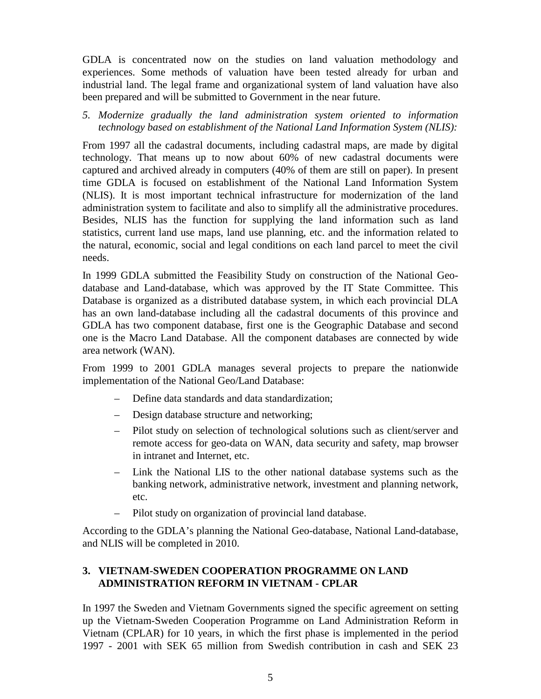GDLA is concentrated now on the studies on land valuation methodology and experiences. Some methods of valuation have been tested already for urban and industrial land. The legal frame and organizational system of land valuation have also been prepared and will be submitted to Government in the near future.

*5. Modernize gradually the land administration system oriented to information technology based on establishment of the National Land Information System (NLIS):*

From 1997 all the cadastral documents, including cadastral maps, are made by digital technology. That means up to now about 60% of new cadastral documents were captured and archived already in computers (40% of them are still on paper). In present time GDLA is focused on establishment of the National Land Information System (NLIS). It is most important technical infrastructure for modernization of the land administration system to facilitate and also to simplify all the administrative procedures. Besides, NLIS has the function for supplying the land information such as land statistics, current land use maps, land use planning, etc. and the information related to the natural, economic, social and legal conditions on each land parcel to meet the civil needs.

In 1999 GDLA submitted the Feasibility Study on construction of the National Geodatabase and Land-database, which was approved by the IT State Committee. This Database is organized as a distributed database system, in which each provincial DLA has an own land-database including all the cadastral documents of this province and GDLA has two component database, first one is the Geographic Database and second one is the Macro Land Database. All the component databases are connected by wide area network (WAN).

From 1999 to 2001 GDLA manages several projects to prepare the nationwide implementation of the National Geo/Land Database:

- Define data standards and data standardization;
- Design database structure and networking;
- Pilot study on selection of technological solutions such as client/server and remote access for geo-data on WAN, data security and safety, map browser in intranet and Internet, etc.
- Link the National LIS to the other national database systems such as the banking network, administrative network, investment and planning network, etc.
- Pilot study on organization of provincial land database.

According to the GDLA's planning the National Geo-database, National Land-database, and NLIS will be completed in 2010.

## **3. VIETNAM-SWEDEN COOPERATION PROGRAMME ON LAND ADMINISTRATION REFORM IN VIETNAM - CPLAR**

In 1997 the Sweden and Vietnam Governments signed the specific agreement on setting up the Vietnam-Sweden Cooperation Programme on Land Administration Reform in Vietnam (CPLAR) for 10 years, in which the first phase is implemented in the period 1997 - 2001 with SEK 65 million from Swedish contribution in cash and SEK 23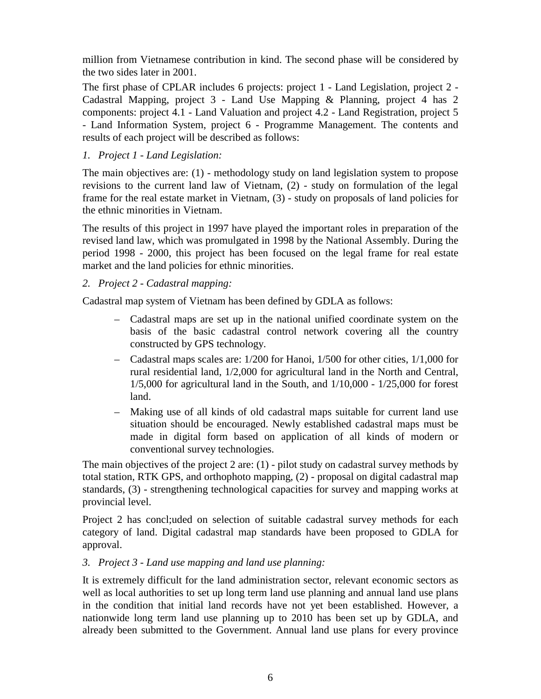million from Vietnamese contribution in kind. The second phase will be considered by the two sides later in 2001.

The first phase of CPLAR includes 6 projects: project 1 - Land Legislation, project 2 - Cadastral Mapping, project 3 - Land Use Mapping & Planning, project 4 has 2 components: project 4.1 - Land Valuation and project 4.2 - Land Registration, project 5 - Land Information System, project 6 - Programme Management. The contents and results of each project will be described as follows:

*1. Project 1 - Land Legislation:*

The main objectives are: (1) - methodology study on land legislation system to propose revisions to the current land law of Vietnam, (2) - study on formulation of the legal frame for the real estate market in Vietnam, (3) - study on proposals of land policies for the ethnic minorities in Vietnam.

The results of this project in 1997 have played the important roles in preparation of the revised land law, which was promulgated in 1998 by the National Assembly. During the period 1998 - 2000, this project has been focused on the legal frame for real estate market and the land policies for ethnic minorities.

*2. Project 2 - Cadastral mapping:*

Cadastral map system of Vietnam has been defined by GDLA as follows:

- Cadastral maps are set up in the national unified coordinate system on the basis of the basic cadastral control network covering all the country constructed by GPS technology.
- Cadastral maps scales are: 1/200 for Hanoi, 1/500 for other cities, 1/1,000 for rural residential land, 1/2,000 for agricultural land in the North and Central, 1/5,000 for agricultural land in the South, and 1/10,000 - 1/25,000 for forest land.
- Making use of all kinds of old cadastral maps suitable for current land use situation should be encouraged. Newly established cadastral maps must be made in digital form based on application of all kinds of modern or conventional survey technologies.

The main objectives of the project 2 are: (1) - pilot study on cadastral survey methods by total station, RTK GPS, and orthophoto mapping, (2) - proposal on digital cadastral map standards, (3) - strengthening technological capacities for survey and mapping works at provincial level.

Project 2 has concl;uded on selection of suitable cadastral survey methods for each category of land. Digital cadastral map standards have been proposed to GDLA for approval.

*3. Project 3 - Land use mapping and land use planning:*

It is extremely difficult for the land administration sector, relevant economic sectors as well as local authorities to set up long term land use planning and annual land use plans in the condition that initial land records have not yet been established. However, a nationwide long term land use planning up to 2010 has been set up by GDLA, and already been submitted to the Government. Annual land use plans for every province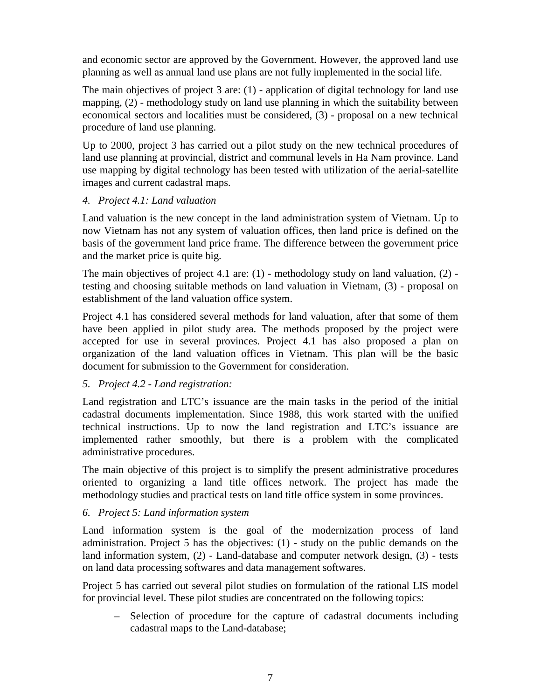and economic sector are approved by the Government. However, the approved land use planning as well as annual land use plans are not fully implemented in the social life.

The main objectives of project 3 are: (1) - application of digital technology for land use mapping, (2) - methodology study on land use planning in which the suitability between economical sectors and localities must be considered, (3) - proposal on a new technical procedure of land use planning.

Up to 2000, project 3 has carried out a pilot study on the new technical procedures of land use planning at provincial, district and communal levels in Ha Nam province. Land use mapping by digital technology has been tested with utilization of the aerial-satellite images and current cadastral maps.

#### *4. Project 4.1: Land valuation*

Land valuation is the new concept in the land administration system of Vietnam. Up to now Vietnam has not any system of valuation offices, then land price is defined on the basis of the government land price frame. The difference between the government price and the market price is quite big.

The main objectives of project 4.1 are: (1) - methodology study on land valuation, (2) testing and choosing suitable methods on land valuation in Vietnam, (3) - proposal on establishment of the land valuation office system.

Project 4.1 has considered several methods for land valuation, after that some of them have been applied in pilot study area. The methods proposed by the project were accepted for use in several provinces. Project 4.1 has also proposed a plan on organization of the land valuation offices in Vietnam. This plan will be the basic document for submission to the Government for consideration.

## *5. Project 4.2 - Land registration:*

Land registration and LTC's issuance are the main tasks in the period of the initial cadastral documents implementation. Since 1988, this work started with the unified technical instructions. Up to now the land registration and LTC's issuance are implemented rather smoothly, but there is a problem with the complicated administrative procedures.

The main objective of this project is to simplify the present administrative procedures oriented to organizing a land title offices network. The project has made the methodology studies and practical tests on land title office system in some provinces.

## *6. Project 5: Land information system*

Land information system is the goal of the modernization process of land administration. Project 5 has the objectives: (1) - study on the public demands on the land information system, (2) - Land-database and computer network design, (3) - tests on land data processing softwares and data management softwares.

Project 5 has carried out several pilot studies on formulation of the rational LIS model for provincial level. These pilot studies are concentrated on the following topics:

– Selection of procedure for the capture of cadastral documents including cadastral maps to the Land-database;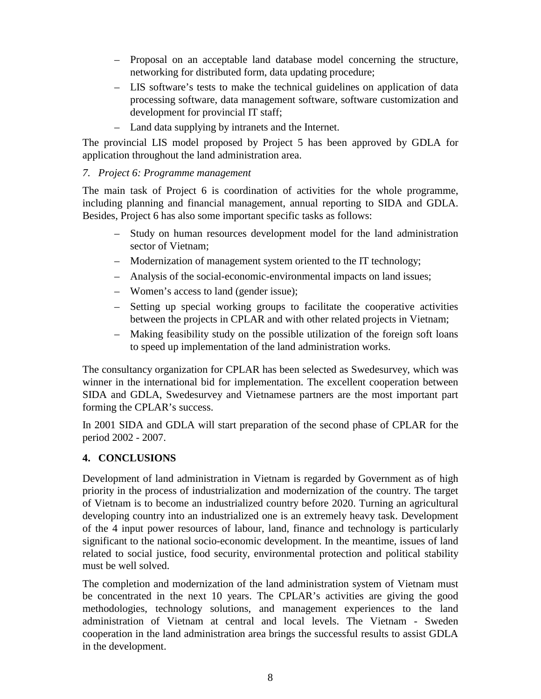- Proposal on an acceptable land database model concerning the structure, networking for distributed form, data updating procedure;
- LIS software's tests to make the technical guidelines on application of data processing software, data management software, software customization and development for provincial IT staff;
- Land data supplying by intranets and the Internet.

The provincial LIS model proposed by Project 5 has been approved by GDLA for application throughout the land administration area.

#### *7. Project 6: Programme management*

The main task of Project 6 is coordination of activities for the whole programme, including planning and financial management, annual reporting to SIDA and GDLA. Besides, Project 6 has also some important specific tasks as follows:

- Study on human resources development model for the land administration sector of Vietnam;
- Modernization of management system oriented to the IT technology;
- Analysis of the social-economic-environmental impacts on land issues;
- Women's access to land (gender issue);
- Setting up special working groups to facilitate the cooperative activities between the projects in CPLAR and with other related projects in Vietnam;
- Making feasibility study on the possible utilization of the foreign soft loans to speed up implementation of the land administration works.

The consultancy organization for CPLAR has been selected as Swedesurvey, which was winner in the international bid for implementation. The excellent cooperation between SIDA and GDLA, Swedesurvey and Vietnamese partners are the most important part forming the CPLAR's success.

In 2001 SIDA and GDLA will start preparation of the second phase of CPLAR for the period 2002 - 2007.

## **4. CONCLUSIONS**

Development of land administration in Vietnam is regarded by Government as of high priority in the process of industrialization and modernization of the country. The target of Vietnam is to become an industrialized country before 2020. Turning an agricultural developing country into an industrialized one is an extremely heavy task. Development of the 4 input power resources of labour, land, finance and technology is particularly significant to the national socio-economic development. In the meantime, issues of land related to social justice, food security, environmental protection and political stability must be well solved.

The completion and modernization of the land administration system of Vietnam must be concentrated in the next 10 years. The CPLAR's activities are giving the good methodologies, technology solutions, and management experiences to the land administration of Vietnam at central and local levels. The Vietnam - Sweden cooperation in the land administration area brings the successful results to assist GDLA in the development.